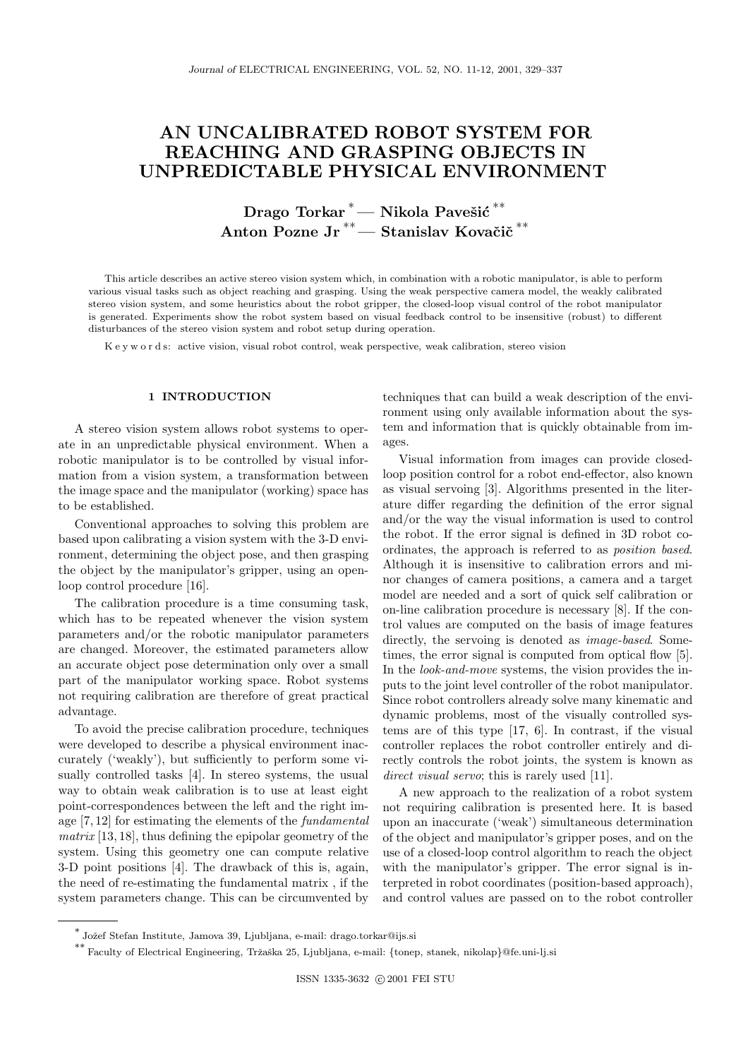## AN UNCALIBRATED ROBOT SYSTEM FOR **REACHING AND GRASPING OBJECTS IN UNPREDICTABLE PHYSICAL ENVIRONMENT** UNIPERSITY PHYSICAL ENVIRONMENT PHYSICAL ENVIRONMENT COMPANY

**Drago Torkar <sup>∗</sup>— Nikola Pavešić <sup>∗∗</sup>** Anton Pozne Jr<sup>\*\*</sup> — Stanislav Kovačič<sup>\*\*</sup>

This article describes an active stereo vision system which, in combination with a robotic manipulator, is able to perform various visual tasks such as object reaching and grasping. Using the weak perspective camera model, the weakly calibrated stereo vision system, and some heuristics about the robot gripper, the closed-loop visual control of the robot manipulator is generated. Experiments show the robot system based on visual feedback control to be insensitive (robust) to different disturbances of the stereo vision system and robot setup during operation.

K e y w o r d s: active vision, visual robot control, weak perspective, weak calibration, stereo vision

## 1 INTRODUCTION

A stereo vision system allows robot systems to operate in an unpredictable physical environment. When a robotic manipulator is to be controlled by visual information from a vision system, a transformation between the image space and the manipulator (working) space has to be established.

Conventional approaches to solving this problem are based upon calibrating a vision system with the 3-D environment, determining the object pose, and then grasping the object by the manipulator's gripper, using an openloop control procedure [16].

The calibration procedure is a time consuming task, which has to be repeated whenever the vision system parameters and/or the robotic manipulator parameters are changed. Moreover, the estimated parameters allow an accurate object pose determination only over a small part of the manipulator working space. Robot systems not requiring calibration are therefore of great practical advantage.

To avoid the precise calibration procedure, techniques were developed to describe a physical environment inaccurately ('weakly'), but sufficiently to perform some visually controlled tasks [4]. In stereo systems, the usual way to obtain weak calibration is to use at least eight point-correspondences between the left and the right image [7, 12] for estimating the elements of the *fundamental matrix* [13, 18], thus defining the epipolar geometry of the system. Using this geometry one can compute relative 3-D point positions [4]. The drawback of this is, again, the need of re-estimating the fundamental matrix , if the system parameters change. This can be circumvented by techniques that can build a weak description of the environment using only available information about the system and information that is quickly obtainable from images.

Visual information from images can provide closedloop position control for a robot end-effector, also known as visual servoing [3]. Algorithms presented in the literature differ regarding the definition of the error signal and/or the way the visual information is used to control the robot. If the error signal is defined in 3D robot coordinates, the approach is referred to as *position based*. Although it is insensitive to calibration errors and minor changes of camera positions, a camera and a target model are needed and a sort of quick self calibration or on-line calibration procedure is necessary [8]. If the control values are computed on the basis of image features directly, the servoing is denoted as *image-based*. Sometimes, the error signal is computed from optical flow [5]. In the *look-and-move* systems, the vision provides the inputs to the joint level controller of the robot manipulator. Since robot controllers already solve many kinematic and dynamic problems, most of the visually controlled systems are of this type [17, 6]. In contrast, if the visual controller replaces the robot controller entirely and directly controls the robot joints, the system is known as *direct visual servo*; this is rarely used [11].

A new approach to the realization of a robot system not requiring calibration is presented here. It is based upon an inaccurate ('weak') simultaneous determination of the object and manipulator's gripper poses, and on the use of a closed-loop control algorithm to reach the object with the manipulator's gripper. The error signal is interpreted in robot coordinates (position-based approach), and control values are passed on to the robot controller

<sup>\*</sup> Jožef Stefan Institute, Jamova 39, Ljubljana, e-mail: drago.torkar@ijs.si<br>\*\* Faculty of Electrical Engineering, Tržaška 25, Ljubljana, e-mail: {tonep, stanek, nikolap}@fe.uni-lj.si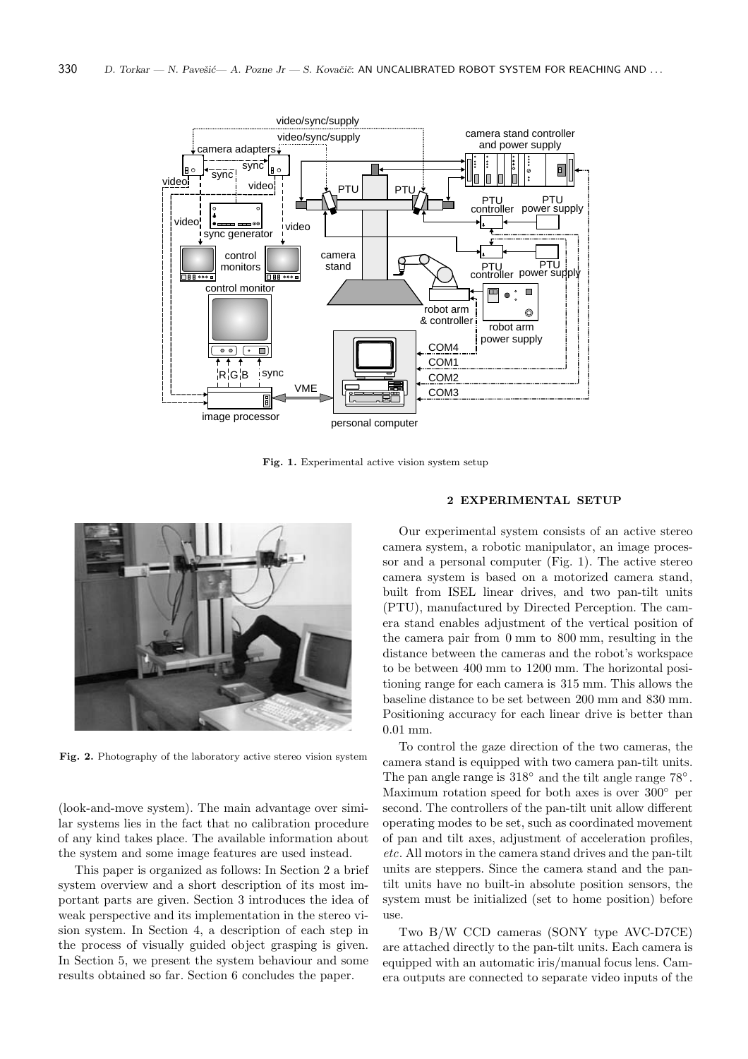

**Fig. 1.** Experimental active vision system setup



**Fig. 2.** Photography of the laboratory active stereo vision system

(look-and-move system). The main advantage over similar systems lies in the fact that no calibration procedure of any kind takes place. The available information about the system and some image features are used instead.

This paper is organized as follows: In Section 2 a brief system overview and a short description of its most important parts are given. Section 3 introduces the idea of weak perspective and its implementation in the stereo vision system. In Section 4, a description of each step in the process of visually guided object grasping is given. In Section 5, we present the system behaviour and some results obtained so far. Section 6 concludes the paper.

Our experimental system consists of an active stereo camera system, a robotic manipulator, an image processor and a personal computer (Fig. 1). The active stereo camera system is based on a motorized camera stand, built from ISEL linear drives, and two pan-tilt units (PTU), manufactured by Directed Perception. The camera stand enables adjustment of the vertical position of the camera pair from 0 mm to 800 mm, resulting in the distance between the cameras and the robot's workspace to be between 400 mm to 1200 mm. The horizontal positioning range for each camera is 315 mm. This allows the baseline distance to be set between 200 mm and 830 mm. Positioning accuracy for each linear drive is better than 0.01 mm.

To control the gaze direction of the two cameras, the camera stand is equipped with two camera pan-tilt units. The pan angle range is 318◦ and the tilt angle range 78◦ . Maximum rotation speed for both axes is over 300◦ per second. The controllers of the pan-tilt unit allow different operating modes to be set, such as coordinated movement of pan and tilt axes, adjustment of acceleration profiles, *etc*. All motors in the camera stand drives and the pan-tilt units are steppers. Since the camera stand and the pantilt units have no built-in absolute position sensors, the system must be initialized (set to home position) before use.

Two B/W CCD cameras (SONY type AVC-D7CE) are attached directly to the pan-tilt units. Each camera is equipped with an automatic iris/manual focus lens. Camera outputs are connected to separate video inputs of the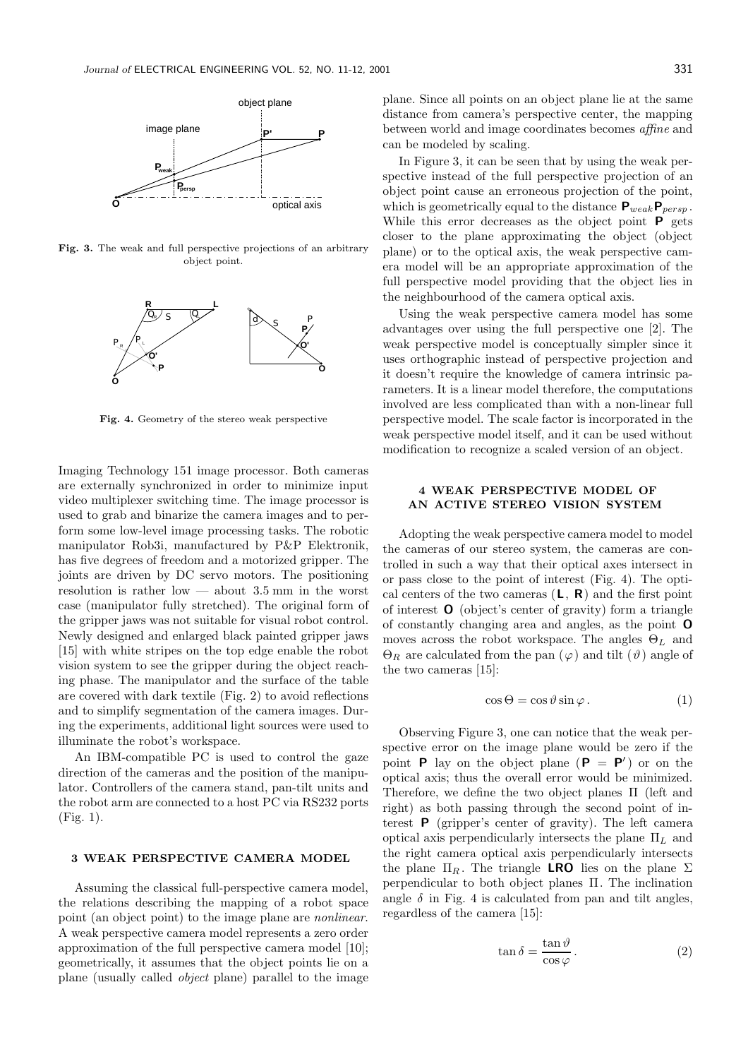

**Fig. 3.** The weak and full perspective projections of an arbitrary object point.



**Fig. 4.** Geometry of the stereo weak perspective

Imaging Technology 151 image processor. Both cameras are externally synchronized in order to minimize input video multiplexer switching time. The image processor is used to grab and binarize the camera images and to perform some low-level image processing tasks. The robotic manipulator Rob3i, manufactured by P&P Elektronik, has five degrees of freedom and a motorized gripper. The joints are driven by DC servo motors. The positioning resolution is rather low — about 3.5 mm in the worst case (manipulator fully stretched). The original form of the gripper jaws was not suitable for visual robot control. Newly designed and enlarged black painted gripper jaws [15] with white stripes on the top edge enable the robot vision system to see the gripper during the object reaching phase. The manipulator and the surface of the table are covered with dark textile (Fig. 2) to avoid reflections and to simplify segmentation of the camera images. During the experiments, additional light sources were used to illuminate the robot's workspace.

An IBM-compatible PC is used to control the gaze direction of the cameras and the position of the manipulator. Controllers of the camera stand, pan-tilt units and the robot arm are connected to a host PC via RS232 ports (Fig. 1).

### **3 WEAK PERSPECTIVE CAMERA MODEL**

Assuming the classical full-perspective camera model, the relations describing the mapping of a robot space point (an object point) to the image plane are *nonlinear*. A weak perspective camera model represents a zero order approximation of the full perspective camera model [10]; geometrically, it assumes that the object points lie on a plane (usually called *object* plane) parallel to the image plane. Since all points on an object plane lie at the same distance from camera's perspective center, the mapping between world and image coordinates becomes *affine* and can be modeled by scaling.

In Figure 3, it can be seen that by using the weak perspective instead of the full perspective projection of an object point cause an erroneous projection of the point, which is geometrically equal to the distance  $\mathbf{P}_{weak}\mathbf{P}_{persp}$ . While this error decreases as the object point **P** gets closer to the plane approximating the object (object plane) or to the optical axis, the weak perspective camera model will be an appropriate approximation of the full perspective model providing that the object lies in the neighbourhood of the camera optical axis.

Using the weak perspective camera model has some advantages over using the full perspective one [2]. The weak perspective model is conceptually simpler since it uses orthographic instead of perspective projection and it doesn't require the knowledge of camera intrinsic parameters. It is a linear model therefore, the computations involved are less complicated than with a non-linear full perspective model. The scale factor is incorporated in the weak perspective model itself, and it can be used without modification to recognize a scaled version of an object.

# **4 WEAK PERSPECTIVE MODEL OF**

Adopting the weak perspective camera model to model the cameras of our stereo system, the cameras are controlled in such a way that their optical axes intersect in or pass close to the point of interest (Fig. 4). The optical centers of the two cameras (**L**, **R**) and the first point of interest **O** (object's center of gravity) form a triangle of constantly changing area and angles, as the point **O** moves across the robot workspace. The angles  $\Theta_L$  and  $\Theta_R$  are calculated from the pan  $(\varphi)$  and tilt  $(\vartheta)$  angle of the two cameras [15]:

$$
\cos \Theta = \cos \vartheta \sin \varphi. \tag{1}
$$

Observing Figure 3, one can notice that the weak perspective error on the image plane would be zero if the point **P** lay on the object plane  $(P = P')$  or on the optical axis; thus the overall error would be minimized. Therefore, we define the two object planes Π (left and right) as both passing through the second point of interest **P** (gripper's center of gravity). The left camera optical axis perpendicularly intersects the plane  $\Pi_L$  and the right camera optical axis perpendicularly intersects the plane  $\Pi_R$ . The triangle **LRO** lies on the plane  $\Sigma$ perpendicular to both object planes Π. The inclination angle  $\delta$  in Fig. 4 is calculated from pan and tilt angles, regardless of the camera [15]:

$$
\tan \delta = \frac{\tan \vartheta}{\cos \varphi}.
$$
 (2)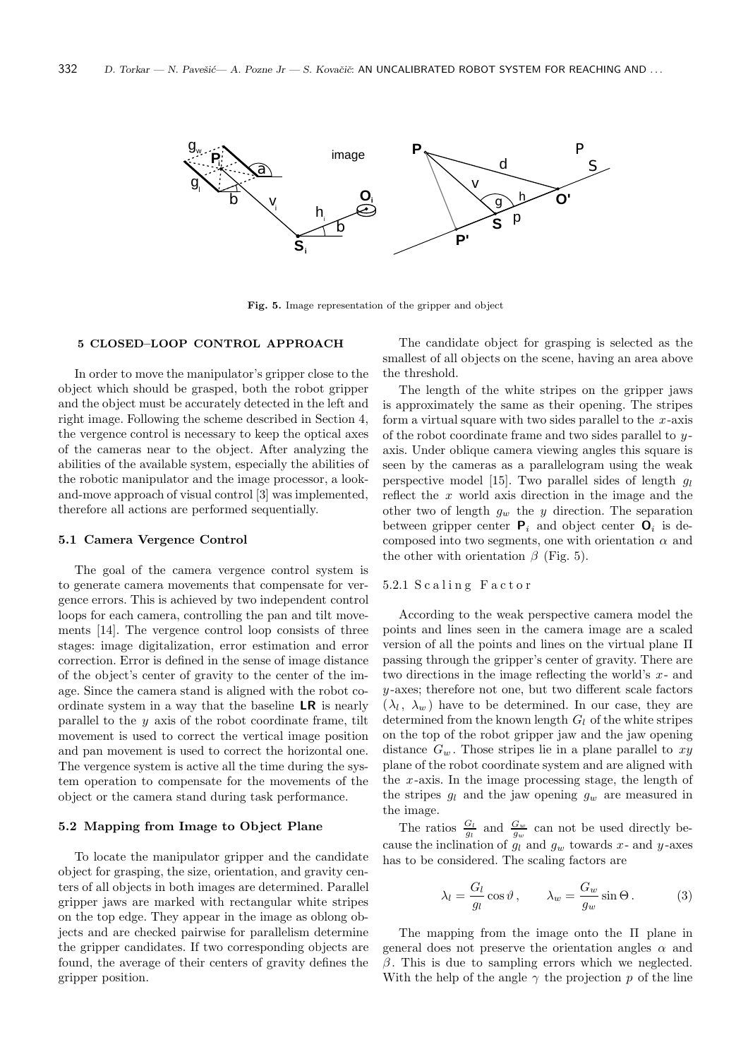

**Fig. 5.** Image representation of the gripper and object

#### **5 CLOSED–LOOP CONTROL APPROACH**

In order to move the manipulator's gripper close to the object which should be grasped, both the robot gripper and the object must be accurately detected in the left and right image. Following the scheme described in Section 4, the vergence control is necessary to keep the optical axes of the cameras near to the object. After analyzing the abilities of the available system, especially the abilities of the robotic manipulator and the image processor, a lookand-move approach of visual control [3] was implemented, therefore all actions are performed sequentially.

#### **5.1 Camera Vergence Control**

The goal of the camera vergence control system is to generate camera movements that compensate for vergence errors. This is achieved by two independent control loops for each camera, controlling the pan and tilt movements [14]. The vergence control loop consists of three stages: image digitalization, error estimation and error correction. Error is defined in the sense of image distance of the object's center of gravity to the center of the image. Since the camera stand is aligned with the robot coordinate system in a way that the baseline **LR** is nearly parallel to the  $y$  axis of the robot coordinate frame, tilt movement is used to correct the vertical image position and pan movement is used to correct the horizontal one. The vergence system is active all the time during the system operation to compensate for the movements of the object or the camera stand during task performance.

#### **5.2 Mapping from Image to Object Plane**

To locate the manipulator gripper and the candidate object for grasping, the size, orientation, and gravity centers of all objects in both images are determined. Parallel gripper jaws are marked with rectangular white stripes on the top edge. They appear in the image as oblong objects and are checked pairwise for parallelism determine the gripper candidates. If two corresponding objects are found, the average of their centers of gravity defines the gripper position.

The candidate object for grasping is selected as the smallest of all objects on the scene, having an area above the threshold.

The length of the white stripes on the gripper jaws is approximately the same as their opening. The stripes form a virtual square with two sides parallel to the  $x$ -axis of the robot coordinate frame and two sides parallel to  $y$ axis. Under oblique camera viewing angles this square is seen by the cameras as a parallelogram using the weak perspective model [15]. Two parallel sides of length  $q_l$ reflect the  $x$  world axis direction in the image and the other two of length  $g_w$  the y direction. The separation between gripper center  $P_i$  and object center  $O_i$  is decomposed into two segments, one with orientation  $\alpha$  and the other with orientation  $\beta$  (Fig. 5).

#### 5.2.1 Scaling Factor

According to the weak perspective camera model the points and lines seen in the camera image are a scaled version of all the points and lines on the virtual plane Π passing through the gripper's center of gravity. There are two directions in the image reflecting the world's  $x$ - and y -axes; therefore not one, but two different scale factors  $(\lambda_l, \lambda_w)$  have to be determined. In our case, they are determined from the known length  $G_l$  of the white stripes on the top of the robot gripper jaw and the jaw opening distance  $G_w$ . Those stripes lie in a plane parallel to  $xy$ plane of the robot coordinate system and are aligned with the  $x$ -axis. In the image processing stage, the length of the stripes  $g_l$  and the jaw opening  $g_w$  are measured in the image.

The ratios  $\frac{G_l}{g_l}$  and  $\frac{G_w}{g_w}$  can not be used directly because the inclination of  $g_l$  and  $g_w$  towards x- and y-axes has to be considered. The scaling factors are

$$
\lambda_l = \frac{G_l}{g_l} \cos \vartheta, \qquad \lambda_w = \frac{G_w}{g_w} \sin \Theta. \tag{3}
$$

The mapping from the image onto the Π plane in general does not preserve the orientation angles  $\alpha$  and  $\beta$ . This is due to sampling errors which we neglected. With the help of the angle  $\gamma$  the projection p of the line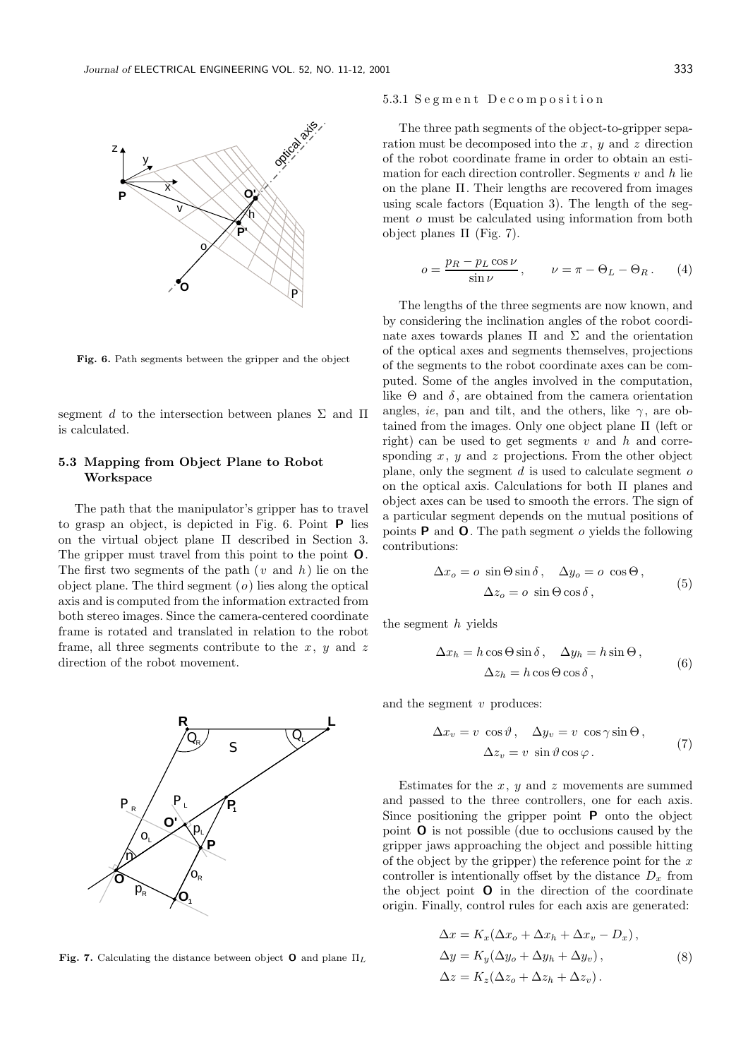

**Fig. 6.** Path segments between the gripper and the object

segment d to the intersection between planes  $\Sigma$  and  $\Pi$ is calculated.

# **5.3 Mapping from Object Plane to Robot Workspace**

The path that the manipulator's gripper has to travel to grasp an object, is depicted in Fig. 6. Point **P** lies on the virtual object plane Π described in Section 3. The gripper must travel from this point to the point **O**. The first two segments of the path  $(v \text{ and } h)$  lie on the object plane. The third segment  $(o)$  lies along the optical axis and is computed from the information extracted from both stereo images. Since the camera-centered coordinate frame is rotated and translated in relation to the robot frame, all three segments contribute to the  $x, y$  and z direction of the robot movement.



**Fig. 7.** Calculating the distance between object **<sup>O</sup>** and plane Π*<sup>L</sup>*

#### 5.3.1 S e g m e n t D e c o m p o s i t i o n

The three path segments of the object-to-gripper separation must be decomposed into the  $x, y$  and  $z$  direction of the robot coordinate frame in order to obtain an estimation for each direction controller. Segments  $v$  and  $h$  lie on the plane Π. Their lengths are recovered from images using scale factors (Equation 3). The length of the segment o must be calculated using information from both object planes  $\Pi$  (Fig. 7).

$$
o = \frac{p_R - p_L \cos \nu}{\sin \nu}, \qquad \nu = \pi - \Theta_L - \Theta_R. \tag{4}
$$

The lengths of the three segments are now known, and by considering the inclination angles of the robot coordinate axes towards planes  $\Pi$  and  $\Sigma$  and the orientation of the optical axes and segments themselves, projections of the segments to the robot coordinate axes can be computed. Some of the angles involved in the computation, like  $\Theta$  and  $\delta$ , are obtained from the camera orientation angles, *ie*, pan and tilt, and the others, like  $\gamma$ , are obtained from the images. Only one object plane Π (left or right) can be used to get segments v and h and corresponding  $x, y$  and  $z$  projections. From the other object plane, only the segment  $d$  is used to calculate segment  $o$ on the optical axis. Calculations for both Π planes and object axes can be used to smooth the errors. The sign of a particular segment depends on the mutual positions of points **P** and **O**. The path segment o yields the following contributions:

$$
\Delta x_o = o \sin \Theta \sin \delta, \quad \Delta y_o = o \cos \Theta,
$$
  

$$
\Delta z_o = o \sin \Theta \cos \delta,
$$
 (5)

the segment  $h$  yields

$$
\Delta x_h = h \cos \Theta \sin \delta, \quad \Delta y_h = h \sin \Theta, \n\Delta z_h = h \cos \Theta \cos \delta,
$$
\n(6)

and the segment  $v$  produces:

$$
\Delta x_v = v \cos \vartheta, \quad \Delta y_v = v \cos \gamma \sin \Theta,
$$
  

$$
\Delta z_v = v \sin \vartheta \cos \varphi.
$$
 (7)

Estimates for the  $x, y$  and  $z$  movements are summed and passed to the three controllers, one for each axis. Since positioning the gripper point **P** onto the object point **O** is not possible (due to occlusions caused by the gripper jaws approaching the object and possible hitting of the object by the gripper) the reference point for the  $x$ controller is intentionally offset by the distance  $D_x$  from the object point **O** in the direction of the coordinate origin. Finally, control rules for each axis are generated:

$$
\Delta x = K_x (\Delta x_o + \Delta x_h + \Delta x_v - D_x),
$$
  
\n
$$
\Delta y = K_y (\Delta y_o + \Delta y_h + \Delta y_v),
$$
  
\n
$$
\Delta z = K_z (\Delta z_o + \Delta z_h + \Delta z_v).
$$
\n(8)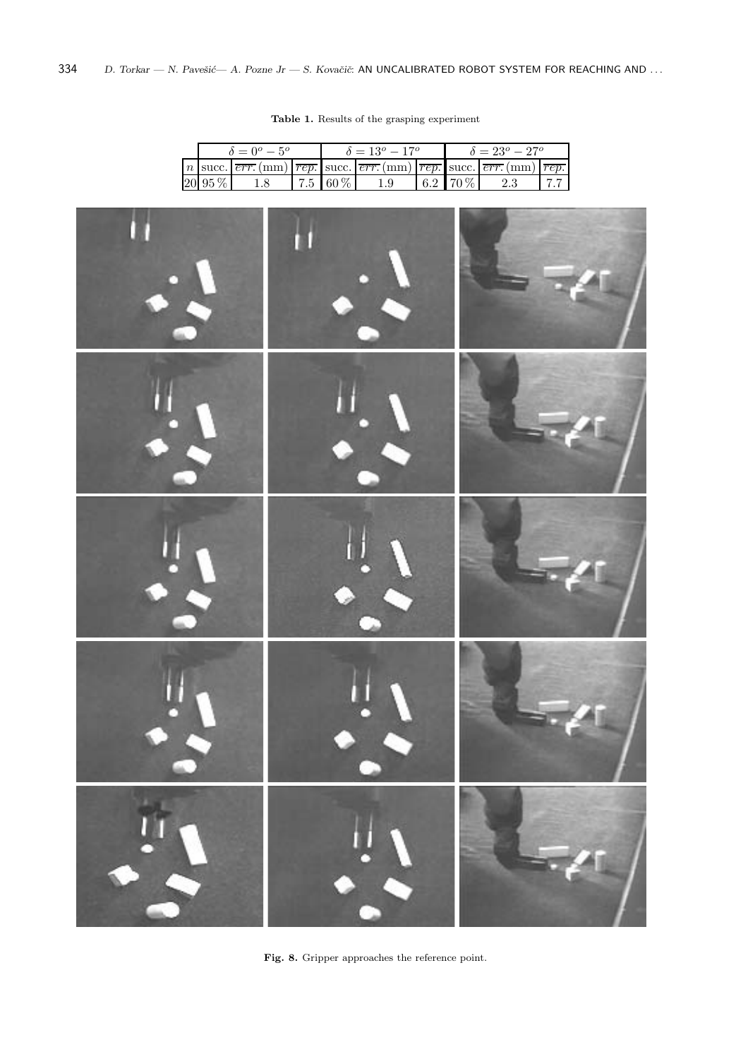|  | $\delta = 0^{\circ} - 5^{\circ}$ |         |  | $\delta = 13^o - 17^o$ |                                                                                                                                                                                                                              |  | $\delta = 23^o - 27^o$ |         |  |
|--|----------------------------------|---------|--|------------------------|------------------------------------------------------------------------------------------------------------------------------------------------------------------------------------------------------------------------------|--|------------------------|---------|--|
|  |                                  |         |  |                        | $\lfloor n \rfloor$ succ. $\lfloor \overline{err} \cdot (mm) \rfloor \overline{rep}$ . succ. $\lfloor \overline{err} \cdot (mm) \rfloor \overline{rep}$ . succ. $\lfloor \overline{err} \cdot (mm) \rfloor \overline{rep}$ . |  |                        |         |  |
|  | 20 95 %                          | $1.8\,$ |  | $7.5 \, 60\%$          | 1.9                                                                                                                                                                                                                          |  | $6.2$ 70 %             | $2.3\,$ |  |

**Table 1.** Results of the grasping experiment



Fig. 8. Gripper approaches the reference point.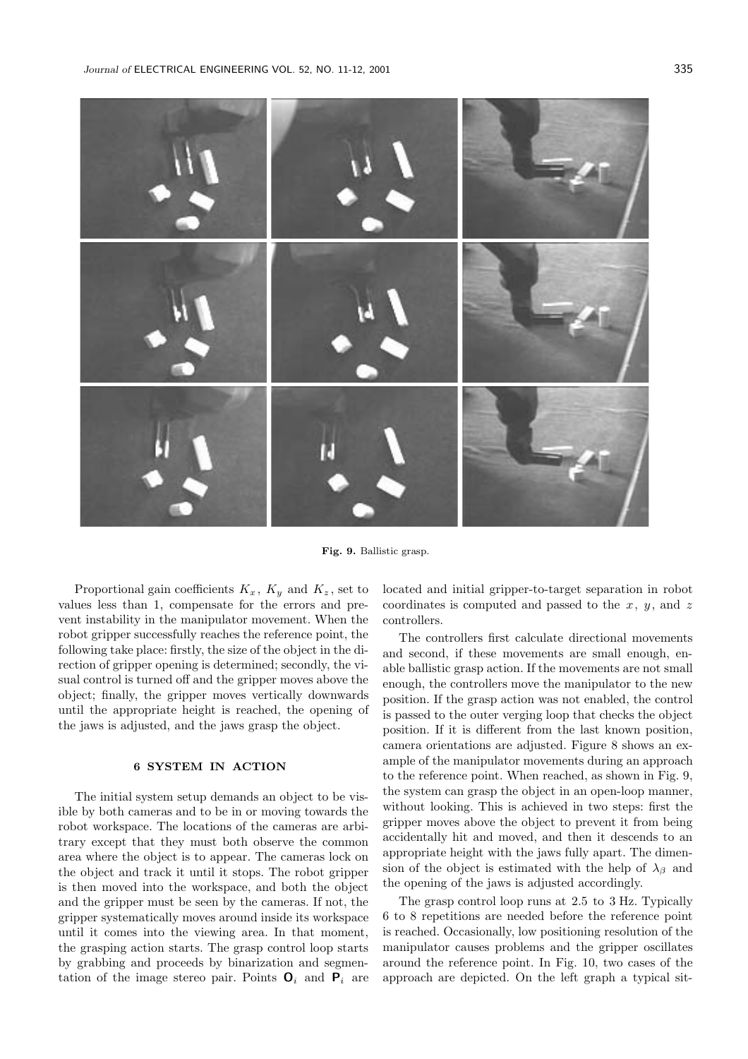

**Fig. 9.** Ballistic grasp.

Proportional gain coefficients  $K_x$ ,  $K_y$  and  $K_z$ , set to values less than 1, compensate for the errors and prevent instability in the manipulator movement. When the robot gripper successfully reaches the reference point, the following take place: firstly, the size of the object in the direction of gripper opening is determined; secondly, the visual control is turned off and the gripper moves above the object; finally, the gripper moves vertically downwards until the appropriate height is reached, the opening of the jaws is adjusted, and the jaws grasp the object.

#### **6 SYSTEM IN ACTION**

The initial system setup demands an object to be visible by both cameras and to be in or moving towards the robot workspace. The locations of the cameras are arbitrary except that they must both observe the common area where the object is to appear. The cameras lock on the object and track it until it stops. The robot gripper is then moved into the workspace, and both the object and the gripper must be seen by the cameras. If not, the gripper systematically moves around inside its workspace until it comes into the viewing area. In that moment, the grasping action starts. The grasp control loop starts by grabbing and proceeds by binarization and segmentation of the image stereo pair. Points  $O_i$  and  $P_i$  are located and initial gripper-to-target separation in robot coordinates is computed and passed to the  $x, y$ , and z controllers.

The controllers first calculate directional movements and second, if these movements are small enough, enable ballistic grasp action. If the movements are not small enough, the controllers move the manipulator to the new position. If the grasp action was not enabled, the control is passed to the outer verging loop that checks the object position. If it is different from the last known position, camera orientations are adjusted. Figure 8 shows an example of the manipulator movements during an approach to the reference point. When reached, as shown in Fig. 9, the system can grasp the object in an open-loop manner, without looking. This is achieved in two steps: first the gripper moves above the object to prevent it from being accidentally hit and moved, and then it descends to an appropriate height with the jaws fully apart. The dimension of the object is estimated with the help of  $\lambda_{\beta}$  and the opening of the jaws is adjusted accordingly.

The grasp control loop runs at 2.5 to 3 Hz. Typically 6 to 8 repetitions are needed before the reference point is reached. Occasionally, low positioning resolution of the manipulator causes problems and the gripper oscillates around the reference point. In Fig. 10, two cases of the approach are depicted. On the left graph a typical sit-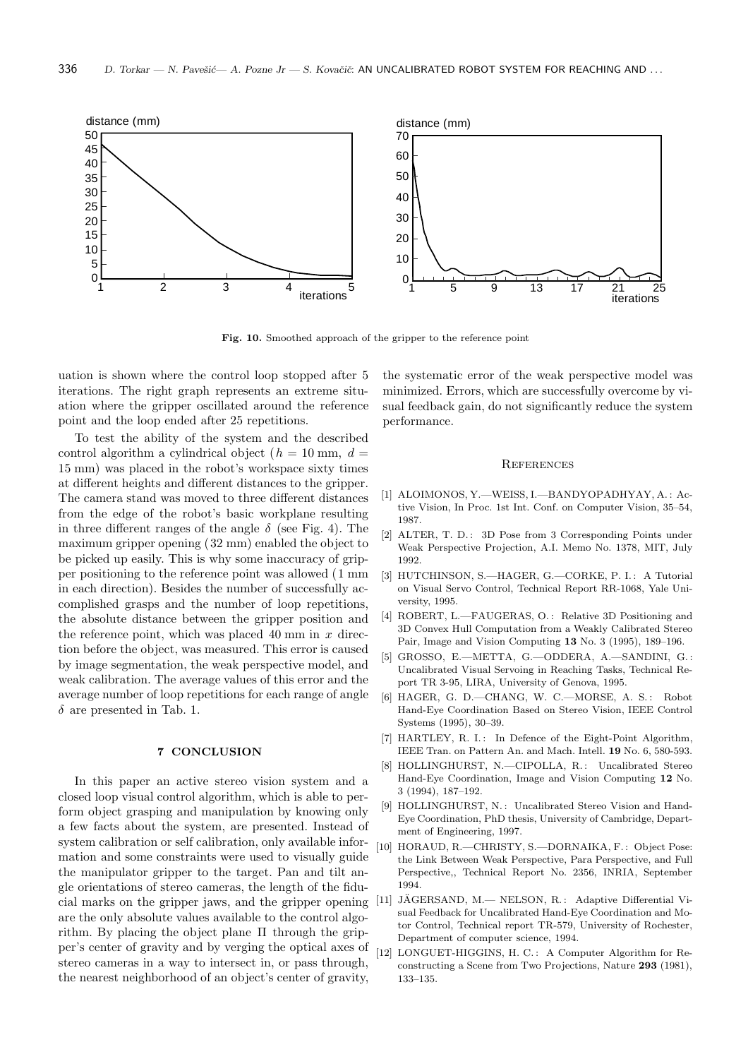

**Fig. 10.** Smoothed approach of the gripper to the reference point

uation is shown where the control loop stopped after 5 iterations. The right graph represents an extreme situation where the gripper oscillated around the reference point and the loop ended after 25 repetitions.

To test the ability of the system and the described control algorithm a cylindrical object ( $h = 10$  mm,  $d =$ 15 mm) was placed in the robot's workspace sixty times at different heights and different distances to the gripper. The camera stand was moved to three different distances from the edge of the robot's basic workplane resulting in three different ranges of the angle  $\delta$  (see Fig. 4). The maximum gripper opening (32 mm) enabled the object to be picked up easily. This is why some inaccuracy of gripper positioning to the reference point was allowed (1 mm in each direction). Besides the number of successfully accomplished grasps and the number of loop repetitions, the absolute distance between the gripper position and the reference point, which was placed 40 mm in  $x$  direction before the object, was measured. This error is caused by image segmentation, the weak perspective model, and weak calibration. The average values of this error and the average number of loop repetitions for each range of angle  $\delta$  are presented in Tab. 1.

In this paper an active stereo vision system and a closed loop visual control algorithm, which is able to perform object grasping and manipulation by knowing only a few facts about the system, are presented. Instead of system calibration or self calibration, only available information and some constraints were used to visually guide the manipulator gripper to the target. Pan and tilt angle orientations of stereo cameras, the length of the fiducial marks on the gripper jaws, and the gripper opening are the only absolute values available to the control algorithm. By placing the object plane  $\Pi$  through the gripper's center of gravity and by verging the optical axes of stereo cameras in a way to intersect in, or pass through, the nearest neighborhood of an object's center of gravity,

the systematic error of the weak perspective model was minimized. Errors, which are successfully overcome by visual feedback gain, do not significantly reduce the system performance.

#### **REFERENCES**

- [1] ALOIMONOS, Y.—WEISS, I.—BANDYOPADHYAY, A. : Active Vision, In Proc. 1st Int. Conf. on Computer Vision, 35–54, 1987.
- [2] ALTER, T. D.: 3D Pose from 3 Corresponding Points under Weak Perspective Projection, A.I. Memo No. 1378, MIT, July 1992.
- [3] HUTCHINSON, S.-HAGER, G.-CORKE, P. I.: A Tutorial on Visual Servo Control, Technical Report RR-1068, Yale University, 1995.
- [4] ROBERT, L.-FAUGERAS, O.: Relative 3D Positioning and 3D Convex Hull Computation from a Weakly Calibrated Stereo Pair, Image and Vision Computing **13** No. 3 (1995), 189–196.
- [5] GROSSO, E.—METTA, G.—ODDERA, A.—SANDINI, G. : Uncalibrated Visual Servoing in Reaching Tasks, Technical Report TR 3-95, LIRA, University of Genova, 1995.
- [6] HAGER, G. D.-CHANG, W. C.-MORSE, A. S.: Robot Hand-Eye Coordination Based on Stereo Vision, IEEE Control Systems (1995), 30–39.
- [7] HARTLEY, R. I.: In Defence of the Eight-Point Algorithm, IEEE Tran. on Pattern An. and Mach. Intell. **19** No. 6, 580-593.
- [8] HOLLINGHURST, N.-CIPOLLA, R.: Uncalibrated Stereo Hand-Eye Coordination, Image and Vision Computing **12** No. 3 (1994), 187–192.
- [9] HOLLINGHURST, N.: Uncalibrated Stereo Vision and Hand-Eye Coordination, PhD thesis, University of Cambridge, Department of Engineering, 1997.
- [10] HORAUD, R.—CHRISTY, S.—DORNAIKA, F.: Object Pose: the Link Between Weak Perspective, Para Perspective, and Full Perspective,, Technical Report No. 2356, INRIA, September 1994.
- [11] JÄGERSAND, M.- NELSON, R.: Adaptive Differential Visual Feedback for Uncalibrated Hand-Eye Coordination and Motor Control, Technical report TR-579, University of Rochester, Department of computer science, 1994.
- [12] LONGUET-HIGGINS, H. C.: A Computer Algorithm for Reconstructing a Scene from Two Projections, Nature **293** (1981), 133–135.